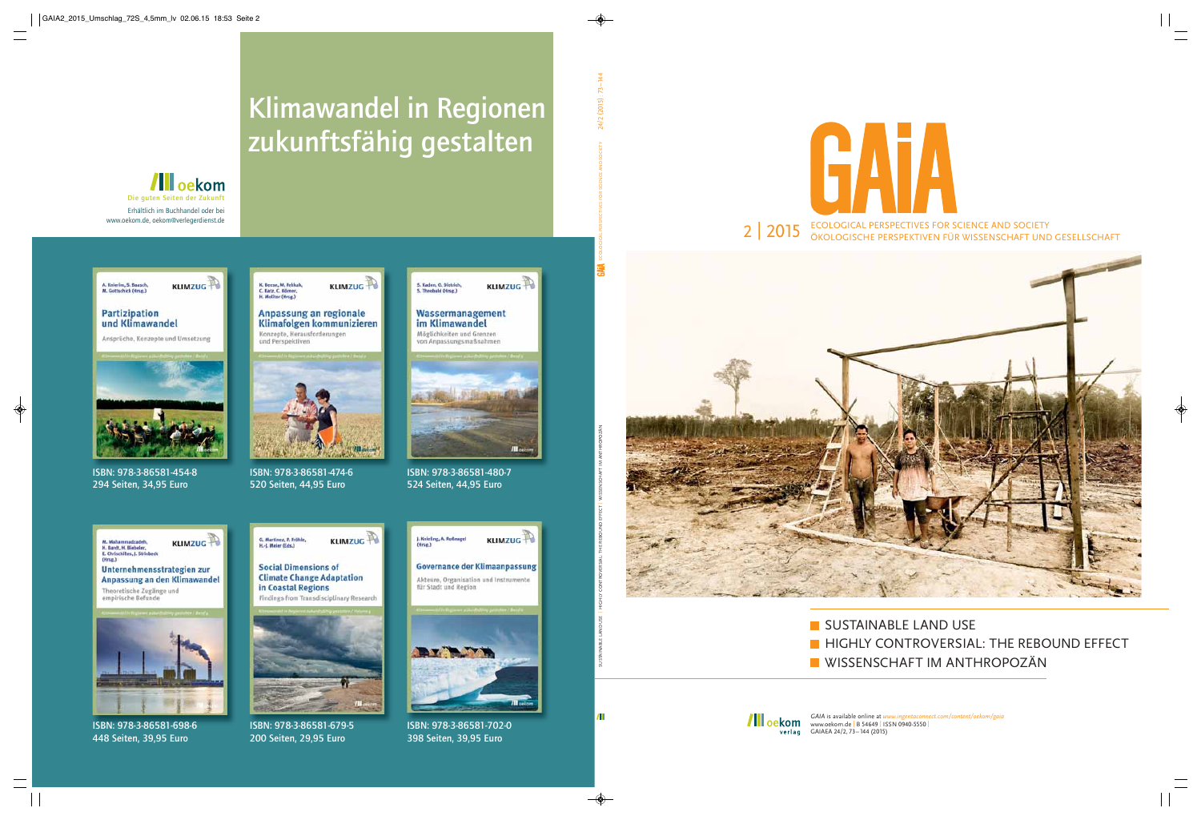



SUSTAINABLE LAND USE **HIGHLY CONTROVERSIAL: THE REBOUND EFFECT WISSENSCHAFT IM ANTHROPOZÄN** 



*GAIA* is available online at *www.ingentaconnect.com/content/oekom/gaia* www.oekom.de | B 54649 | ISSN 0940-5550 | GAIAEA 24/2, 73–144 (2015)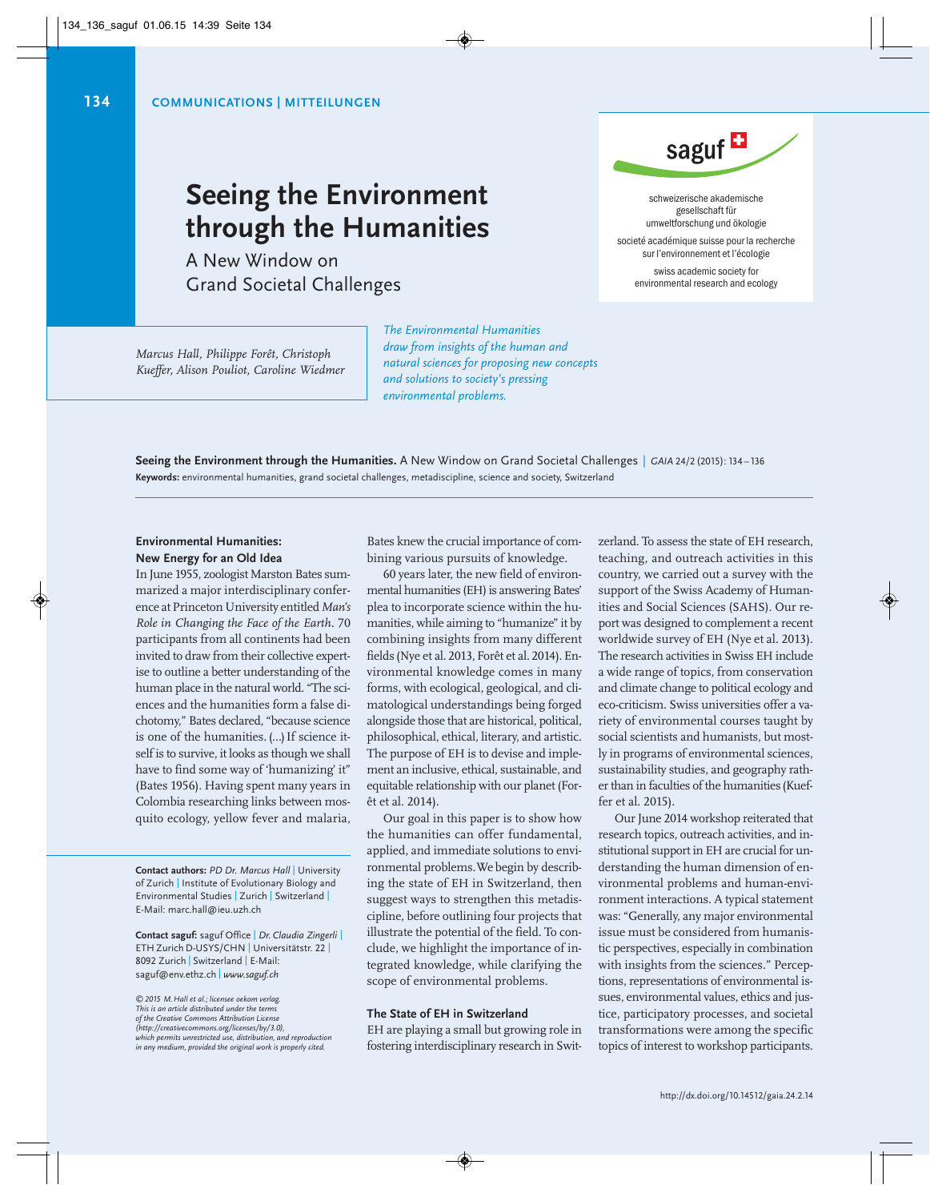# **Seeing the Environment through the Humanities**

A New Window on Grand Societal Challenges

*Marcus Hall, Philippe Forêt, Christoph Kueffer, Alison Pouliot, Caroline Wiedmer* *The Environmental Humanities draw from insights of the human and natural sciences for proposing new concepts and solutions to society's pressing environmental problems.*

**Seeing the Environment through the Humanities.** A New Window on Grand Societal Challenges | *GAIA* 24/2 (2015): 134 – 136 **Keywords:** environmental humanities, grand societal challenges, metadiscipline, science and society, Switzerland

# **Environmental Humanities: New Energy for an Old Idea**

In June 1955, zoologist Marston Bates summarized a major interdisciplinary conference at Princeton University entitled*Man's Role in Changing the Face of the Earth.* 70 participants from all continents had been invited to draw from their collective expertise to outline a better understanding of the human place in the natural world. "The sciences and the humanities form a false dichotomy," Bates declared, "because science is one of the humanities. (…) If science itself is to survive, it looks as though we shall have to find some way of 'humanizing' it" (Bates 1956). Having spent many years in Colombia researching links between mosquito ecology, yellow fever and malaria,

**Contact authors:** *PD Dr. Marcus Hall* | University of Zurich | Institute of Evolutionary Biology and Environmental Studies | Zurich | Switzerland | E-Mail: marc.hall@ieu.uzh.ch

**Contact saguf:** saguf Office | *Dr. Claudia Zingerli* | ETH Zurich D-USYS/CHN | Universitätstr. 22 | 8092 Zurich | Switzerland | E-Mail: saguf@env.ethz.ch | *www.saguf.ch*

*©2015 M.Hall et al.; licensee oekom verlag. This is an article distributed under the terms of the Creative Commons Attribution License (http://creativecommons.org/licenses/by/3.0), which permits unrestricted use, distribution, and reproduction in any medium, provided the original work is properly cited.*

Bates knew the crucial importance of combining various pursuits of knowledge.

60 years later, the new field of environmental humanities (EH) is answering Bates' plea to incorporate science within the humanities, while aiming to "humanize" it by combining insights from many different fields (Nye et al. 2013, Forêt et al. 2014). Environmental knowledge comes in many forms, with ecological, geological, and climatological understandings being forged alongside those that are historical, political, philosophical, ethical, literary, and artistic. The purpose of EH is to devise and implement an inclusive, ethical, sustainable, and equitable relationship with our planet (For êt et al. 2014).

Our goal in this paper is to show how the humanities can offer fundamental, applied, and immediate solutions to environmental problems. We begin by describ ing the state of EH in Switzerland, then suggest ways to strengthen this metadiscipline, before outlining four projects that illustrate the potential of the field. To conclude, we highlight the importance of integrated knowledge, while clarifying the scope of environmental problems.

### **The State of EH in Switzerland**

EH are playing a small but growing role in fostering interdisciplinary research in Switzerland. To assess the state of EH research, teaching, and outreach activities in this country, we carried out a survey with the support of the Swiss Academy of Humanities and Social Sciences (SAHS). Our report was designed to complement a recent worldwide survey of EH (Nye et al. 2013). The research activities in Swiss EH include a wide range of topics, from conservation and climate change to political ecology and eco-criticism. Swiss universities offer a variety of environmental courses taught by social scientists and humanists, but mostly in programs of environmental sciences, sustainability studies, and geography rather than in faculties of the humanities (Kueffer et al. 2015).

Our June 2014 workshop reiterated that research topics, outreach activities, and institutional support in EH are crucial for understanding the human dimension of environmental problems and human-environment interactions. A typical statement was: "Generally, any major environmental issue must be considered from humanistic perspectives, especially in combination with insights from the sciences." Perceptions, representations of environmental is sues, environmental values, ethics and justice, participatory processes, and societal transformations were among the specific topics of interest to workshop participants.



schweizerische akademische gesellschaft für umweltforschung und ökologie

societé académique suisse pour la recherche sur l'environ nement et l'écologie

swiss academic society for environmental research and ecology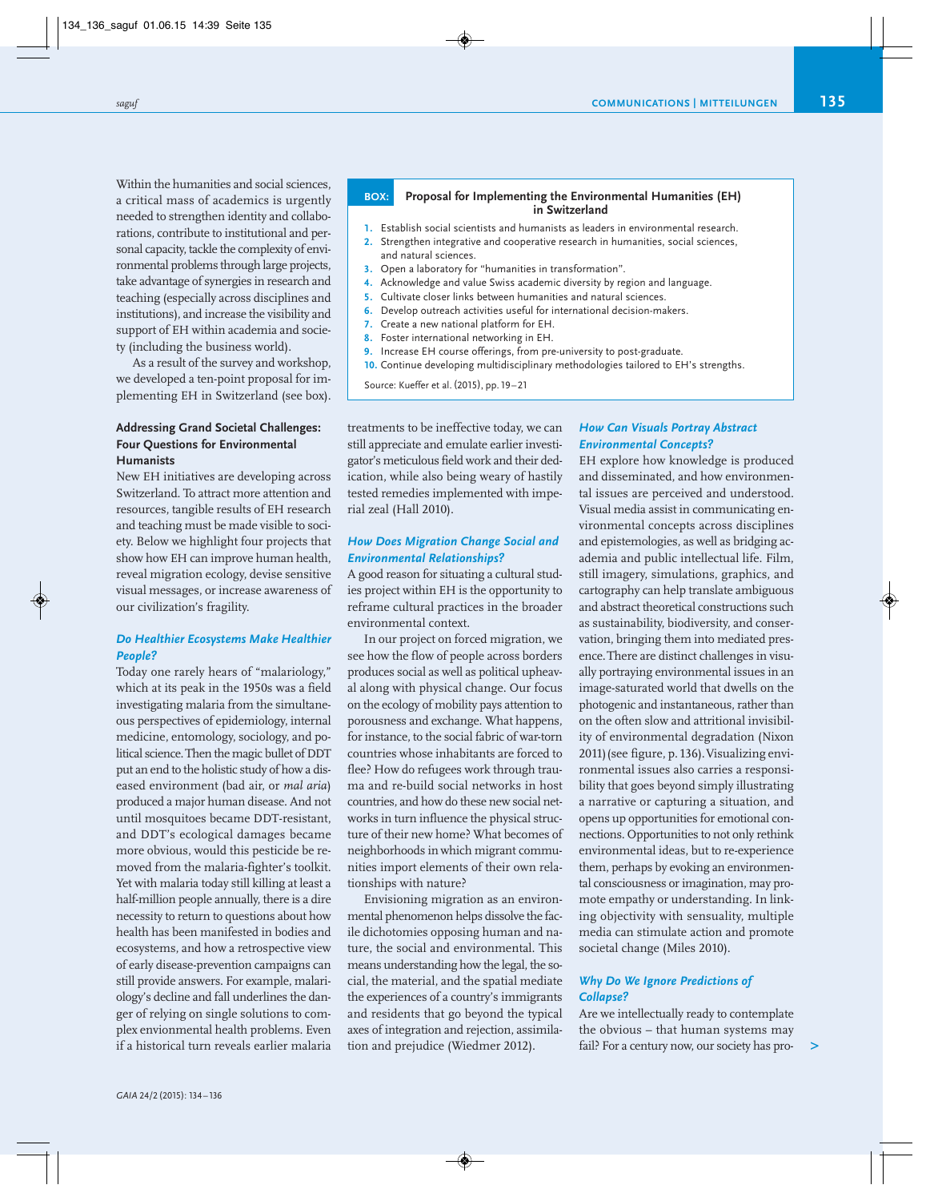Within the humanities and social sciences, a critical mass of academics is urgently needed to strengthen identity and collaborations, contribute to institutional and personal capacity, tackle the complexity of envi ronmental problems through large projects, take advantage of synergies in research and teaching (especially across disciplines and institutions), and increase the visibility and support of EH within academia and society (including the business world).

As a result of the survey and workshop, we developed a ten-point proposal for implementing EH in Switzerland (see box).

# **Addressing Grand Societal Challenges: Four Questions for Environmental Humanists**

New EH initiatives are developing across Switzerland. To attract more attention and resources, tangible results of EH research and teaching must be made visible to soci ety. Below we highlight four projects that show how EH can improve human health, reveal migration ecology, devise sensitive visual messages, or increase awareness of our civilization's fragility.

### *Do Healthier Ecosystems Make Healthier People?*

Today one rarely hears of "malariology," which at its peak in the 1950s was a field investigating malaria from the simultaneous perspectives of epidemiology, internal medicine, entomology, sociology, and political science.Then the magic bullet of DDT put an end to the holistic study of how a diseased environment (bad air, or *mal aria*) produced a major human disease. And not until mosquitoes became DDT-resistant, and DDT's ecological damages became more obvious, would this pesticide be removed from the malaria-fighter's toolkit. Yet with malaria today still killing at least a half-million people annually, there is a dire necessity to return to questions about how health has been manifested in bodies and ecosystems, and how a retrospective view of early disease-prevention campaigns can still provide answers. For example, malariology's decline and fall underlines the danger of relying on single solutions to complex envionmental health problems. Even if a historical turn reveals earlier malaria

#### **BOX: Proposal for Implementing the Environmental Humanities (EH) in Switzerland**

- **1.** Establish social scientists and humanists as leaders in environmental research.
- **2.** Strengthen integrative and cooperative research in humanities, social sciences, and natural sciences.
- **3.** Open a laboratory for "humanities in transformation".
- **4.** Acknowledge and value Swiss academic diversity by region and language.
- **5.** Cultivate closer links between humanities and natural sciences.
- **6.** Develop outreach activities useful for international decision-makers.
- **7.** Create a new national platform for EH.
- **8.** Foster international networking in EH.
- **9.** Increase EH course offerings, from pre-university to post-graduate.
- **10.** Continue developing multidisciplinary methodologies tailored to EH's strengths.

Source: Kueffer et al.(2015), pp. 19–21

treatments to be ineffective today, we can still appreciate and emulate earlier investigator's meticulous field work and their dedication, while also being weary of hastily tested remedies implemented with imperial zeal (Hall 2010).

# *How Does Migration Change Social and Environmental Relationships?*

A good reason for situating a cultural studies project within EH is the opportunity to reframe cultural practices in the broader environmental context.

In our project on forced migration, we see how the flow of people across borders produces social as well as political upheaval along with physical change. Our focus on the ecology of mobility pays attention to porousness and exchange. What happens, for instance, to the social fabric of war-torn countries whose inhabitants are forced to flee? How do refugees work through trauma and re-build social networks in host countries, and how do these new social networks in turn influence the physical structure of their new home? What becomes of neighborhoods in which migrant communities import elements of their own relationships with nature?

Envisioning migration as an environmental phenomenon helps dissolve the facile dichotomies opposing human and nature, the social and environmental. This means understanding how the legal, the social, the material, and the spatial mediate the experiences of a country's immigrants and residents that go beyond the typical axes of integration and rejection, assimilation and prejudice (Wiedmer 2012).

# *How Can Visuals Portray Abstract Environmental Concepts?*

EH explore how knowledge is produced and disseminated, and how environmental issues are perceived and understood. Visual media assist in communicating environmental concepts across disciplines and epistemologies, as well as bridging academia and public intellectual life. Film, still imagery, simulations, graphics, and cartography can help translate ambiguous and abstract theoretical constructions such as sustainability, biodiversity, and conservation, bringing them into mediated presence. There are distinct challenges in visually portraying environmental issues in an image-saturated world that dwells on the photogenic and instantaneous, rather than on the often slow and attritional invisibility of environmental degradation (Nixon 2011) (see figure, p. 136). Visualizing environ mental issues also carries a responsibility that goes beyond simply illustrating a narrative or capturing a situation, and opens up opportunities for emotional connections. Opportunities to not only rethink environmental ideas, but to re-experience them, perhaps by evoking an environmental consciousness or imagination, may promote empathy or understanding. In linking objectivity with sensuality, multiple media can stimulate action and promote societal change (Miles 2010).

## *Why Do We Ignore Predictions of Collapse?*

Are we intellectually ready to contemplate the obvious – that human systems may fail? For a century now, our society has pro - **>**